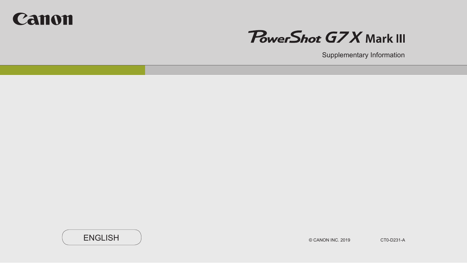



Supplementary Information

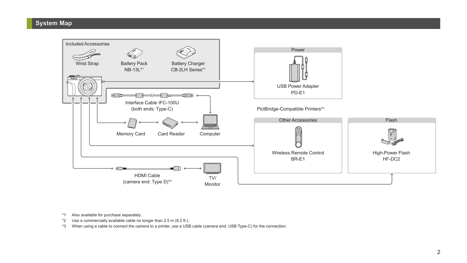## **System Map**



\*1 Also available for purchase separately.

\*2 Use a commercially available cable no longer than 2.5 m (8.2 ft.).

\*3 When using a cable to connect the camera to a printer, use a USB cable (camera end: USB Type-C) for the connection.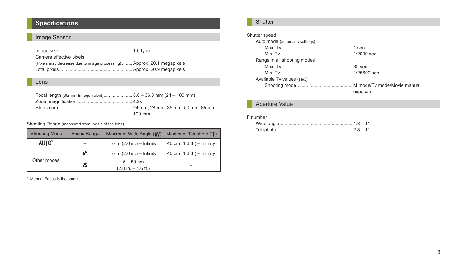# **Specifications**

# Image Sensor

| Camera effective pixels                                               |  |
|-----------------------------------------------------------------------|--|
| (Pixels may decrease due to image processing) Approx. 20.1 megapixels |  |
|                                                                       |  |

#### Lens

| Focal length (35mm film equivalent) 8.8 - 36.8 mm (24 - 100 mm) |                  |
|-----------------------------------------------------------------|------------------|
|                                                                 |                  |
|                                                                 |                  |
|                                                                 | $100 \text{ mm}$ |

Shooting Range (measured from the tip of the lens)

| <b>Shooting Mode</b>    | <b>Focus Range</b> | Maximum Wide Angle (W)               | Maximum Telephoto $(T)$      |
|-------------------------|--------------------|--------------------------------------|------------------------------|
| AUTO <sup>*</sup>       |                    | 5 cm $(2.0 in.) -$ Infinity          | 40 cm $(1.3 ft.) -$ Infinity |
| ΔA<br>Other modes<br>۰Ł |                    | 5 cm $(2.0 in.) -$ Infinity          | 40 cm $(1.3 ft.) -$ Infinity |
|                         |                    | $5 - 50$ cm<br>$(2.0 in. - 1.6 ft.)$ |                              |

\* Manual Focus is the same.

## **Shutter**

# Shutter speed

| Auto mode (automatic settings) |          |
|--------------------------------|----------|
|                                |          |
|                                |          |
| Range in all shooting modes    |          |
|                                |          |
|                                |          |
| Available Tv values (sec.)     |          |
|                                |          |
|                                | exposure |
|                                |          |

## Aperture Value

#### F number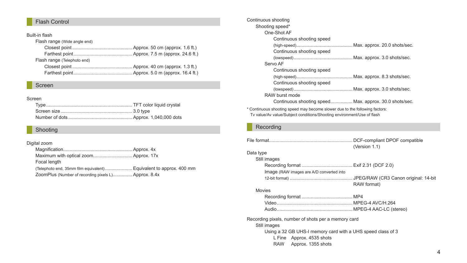## Flash Control

#### Built-in flash

| Flash range (Wide angle end) |  |
|------------------------------|--|
|                              |  |
|                              |  |
| Flash range (Telephoto end)  |  |
|                              |  |
|                              |  |

#### Screen

#### Screen

#### Shooting

#### Digital zoom

| Focal length                                         |  |
|------------------------------------------------------|--|
|                                                      |  |
| ZoomPlus (Number of recording pixels L) Approx. 8.4x |  |

| Continuous shooting                                                          |  |
|------------------------------------------------------------------------------|--|
| Shooting speed*                                                              |  |
| One-Shot AF                                                                  |  |
| Continuous shooting speed                                                    |  |
|                                                                              |  |
| Continuous shooting speed                                                    |  |
|                                                                              |  |
| Servo AF                                                                     |  |
| Continuous shooting speed                                                    |  |
|                                                                              |  |
| Continuous shooting speed                                                    |  |
|                                                                              |  |
| RAW burst mode                                                               |  |
| Continuous shooting speed Max. approx. 30.0 shots/sec.                       |  |
| * Osatianana akaatiga saasal man kaasama alaman dug ta tka fallaniga fastama |  |

\* Continuous shooting speed may become slower due to the following factors: Tv value/Av value/Subject conditions/Shooting environment/Use of flash

### Recording

|                                                     | (Version 1.1) |
|-----------------------------------------------------|---------------|
| Data type                                           |               |
| Still images                                        |               |
|                                                     |               |
| Image (RAW images are A/D converted into            |               |
|                                                     |               |
|                                                     | RAW format)   |
| Movies                                              |               |
|                                                     |               |
|                                                     |               |
|                                                     |               |
| Recording pixels, number of shots per a memory card |               |

Still images

Using a 32 GB UHS-I memory card with a UHS speed class of 3

L Fine Approx. 4535 shots

RAW Approx. 1355 shots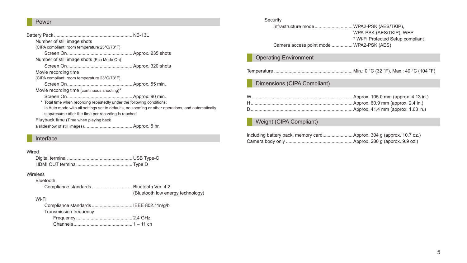## Power

| Number of still image shots                                            |                                                                                                   |
|------------------------------------------------------------------------|---------------------------------------------------------------------------------------------------|
| (CIPA compliant: room temperature 23°C/73°F)                           |                                                                                                   |
|                                                                        |                                                                                                   |
| Number of still image shots (Eco Mode On)                              |                                                                                                   |
|                                                                        |                                                                                                   |
| Movie recording time                                                   |                                                                                                   |
| (CIPA compliant: room temperature 23°C/73°F)                           |                                                                                                   |
|                                                                        |                                                                                                   |
| Movie recording time (continuous shooting)*                            |                                                                                                   |
|                                                                        |                                                                                                   |
| * Total time when recording repeatedly under the following conditions: |                                                                                                   |
|                                                                        | In Auto mode with all settings set to defaults, no zooming or other operations, and automatically |
| stop/resume after the time per recording is reached                    |                                                                                                   |
| Playback time (Time when playing back                                  |                                                                                                   |
|                                                                        |                                                                                                   |

## Interface

### Wired

#### Wireless

Bluetooth

Compliance standards ............................... Bluetooth Ver. 4.2 (Bluetooth low energy technology)

#### Wi-Fi

| Compliance standards  IEEE 802.11n/g/b |  |
|----------------------------------------|--|
| Transmission frequency                 |  |
|                                        |  |
|                                        |  |

| Security<br>Infrastructure mode WPA2-PSK (AES/TKIP),<br>WPA-PSK (AES/TKIP), WEP<br>* Wi-Fi Protected Setup compliant<br>Camera access point mode  WPA2-PSK (AES) |
|------------------------------------------------------------------------------------------------------------------------------------------------------------------|
| <b>Operating Environment</b>                                                                                                                                     |
| Temperature ……………………………………………………… Min.: 0 °C (32 °F), Max.: 40 °C (104 °F)                                                                                       |
| Dimensions (CIPA Compliant)                                                                                                                                      |
|                                                                                                                                                                  |
| Weight (CIPA Compliant)                                                                                                                                          |
| Including battery pack, memory cardApprox. 304 g (approx. 10.7 oz.)                                                                                              |